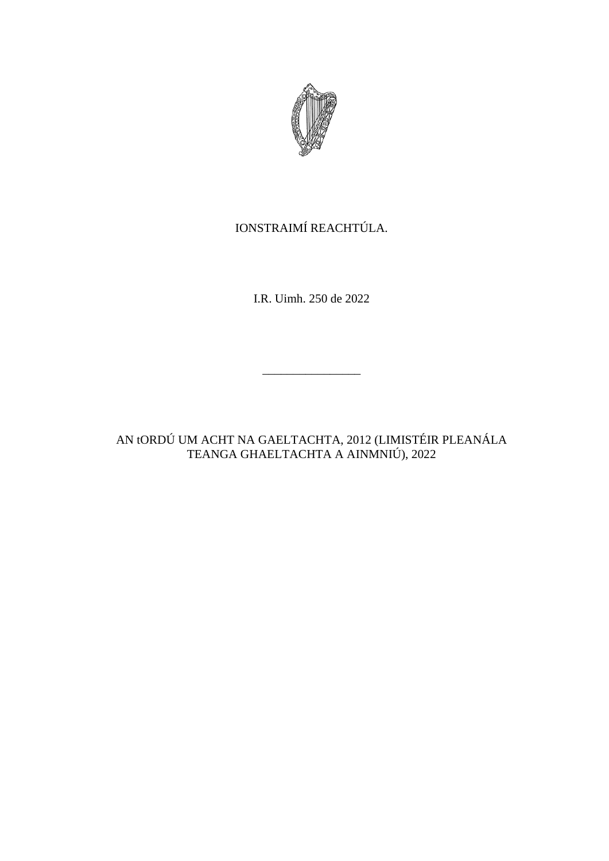

# IONSTRAIMÍ REACHTÚLA.

I.R. Uimh. 250 de 2022

\_\_\_\_\_\_\_\_\_\_\_\_\_\_\_\_

AN tORDÚ UM ACHT NA GAELTACHTA, 2012 (LIMISTÉIR PLEANÁLA TEANGA GHAELTACHTA A AINMNIÚ), 2022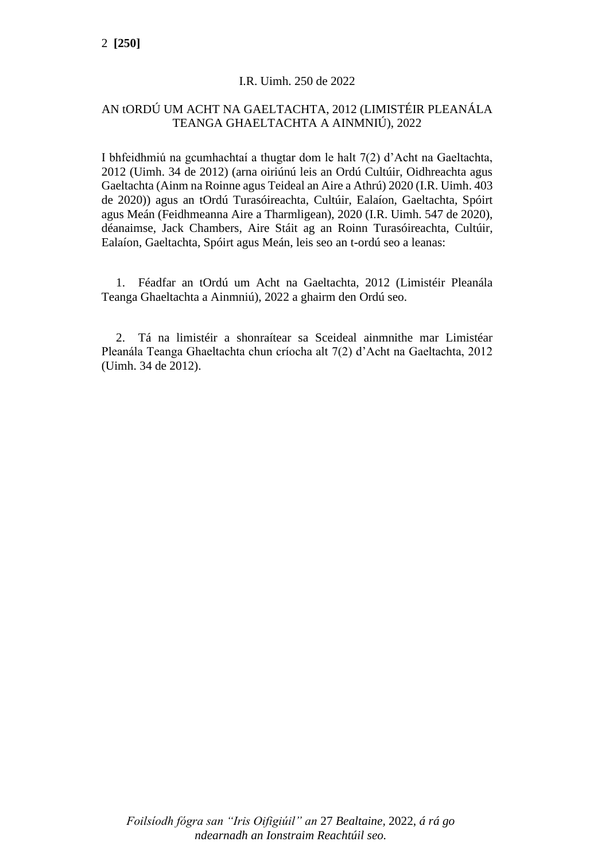### I.R. Uimh. 250 de 2022

## AN tORDÚ UM ACHT NA GAELTACHTA, 2012 (LIMISTÉIR PLEANÁLA TEANGA GHAELTACHTA A AINMNIÚ), 2022

I bhfeidhmiú na gcumhachtaí a thugtar dom le halt 7(2) d'Acht na Gaeltachta, 2012 (Uimh. 34 de 2012) (arna oiriúnú leis an Ordú Cultúir, Oidhreachta agus Gaeltachta (Ainm na Roinne agus Teideal an Aire a Athrú) 2020 (I.R. Uimh. 403 de 2020)) agus an tOrdú Turasóireachta, Cultúir, Ealaíon, Gaeltachta, Spóirt agus Meán (Feidhmeanna Aire a Tharmligean), 2020 (I.R. Uimh. 547 de 2020), déanaimse, Jack Chambers, Aire Stáit ag an Roinn Turasóireachta, Cultúir, Ealaíon, Gaeltachta, Spóirt agus Meán, leis seo an t-ordú seo a leanas:

1. Féadfar an tOrdú um Acht na Gaeltachta, 2012 (Limistéir Pleanála Teanga Ghaeltachta a Ainmniú), 2022 a ghairm den Ordú seo.

2. Tá na limistéir a shonraítear sa Sceideal ainmnithe mar Limistéar Pleanála Teanga Ghaeltachta chun críocha alt 7(2) d'Acht na Gaeltachta, 2012 (Uimh. 34 de 2012).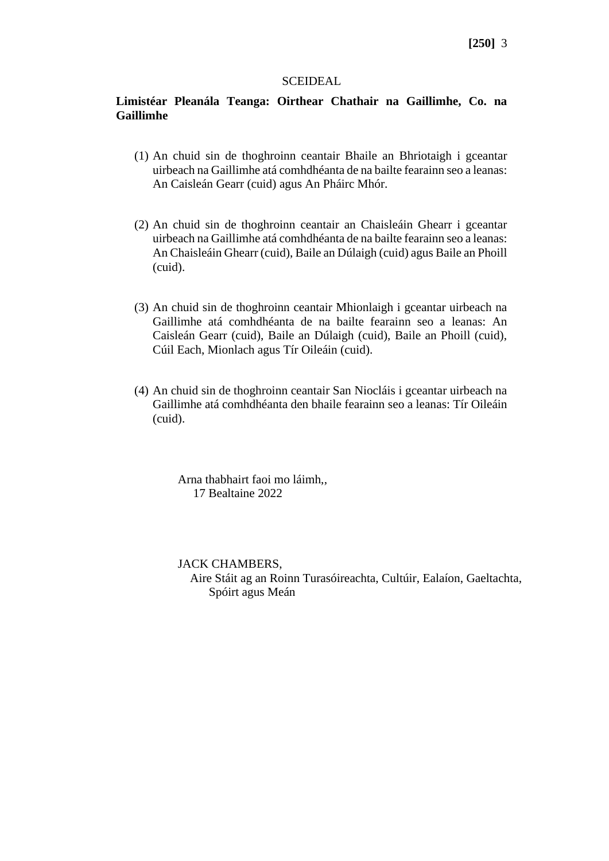### **[250]** 3

#### **SCEIDEAL**

### **Limistéar Pleanála Teanga: Oirthear Chathair na Gaillimhe, Co. na Gaillimhe**

- (1) An chuid sin de thoghroinn ceantair Bhaile an Bhriotaigh i gceantar uirbeach na Gaillimhe atá comhdhéanta de na bailte fearainn seo a leanas: An Caisleán Gearr (cuid) agus An Pháirc Mhór.
- (2) An chuid sin de thoghroinn ceantair an Chaisleáin Ghearr i gceantar uirbeach na Gaillimhe atá comhdhéanta de na bailte fearainn seo a leanas: An Chaisleáin Ghearr (cuid), Baile an Dúlaigh (cuid) agus Baile an Phoill (cuid).
- (3) An chuid sin de thoghroinn ceantair Mhionlaigh i gceantar uirbeach na Gaillimhe atá comhdhéanta de na bailte fearainn seo a leanas: An Caisleán Gearr (cuid), Baile an Dúlaigh (cuid), Baile an Phoill (cuid), Cúil Each, Mionlach agus Tír Oileáin (cuid).
- (4) An chuid sin de thoghroinn ceantair San Niocláis i gceantar uirbeach na Gaillimhe atá comhdhéanta den bhaile fearainn seo a leanas: Tír Oileáin (cuid).

Arna thabhairt faoi mo láimh,, 17 Bealtaine 2022

JACK CHAMBERS,

 Aire Stáit ag an Roinn Turasóireachta, Cultúir, Ealaíon, Gaeltachta, Spóirt agus Meán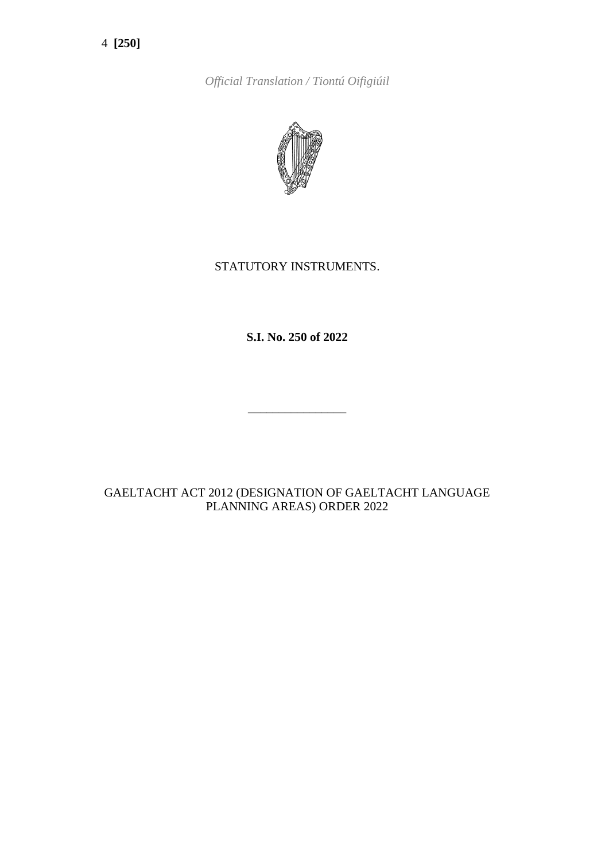4 **[250]**

*Official Translation / Tiontú Oifigiúil*



# STATUTORY INSTRUMENTS.

**S.I. No. 250 of 2022**

\_\_\_\_\_\_\_\_\_\_\_\_\_\_\_\_

# GAELTACHT ACT 2012 (DESIGNATION OF GAELTACHT LANGUAGE PLANNING AREAS) ORDER 2022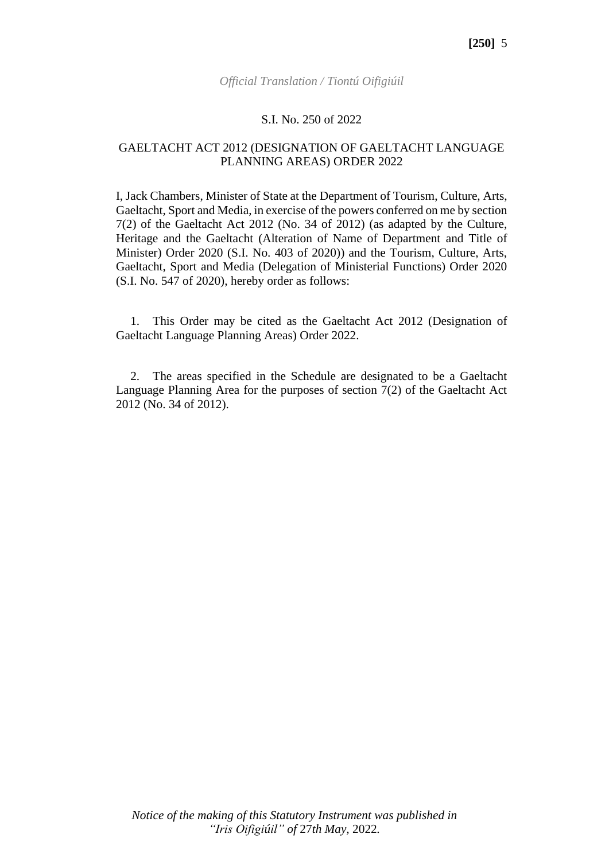#### S.I. No. 250 of 2022

### GAELTACHT ACT 2012 (DESIGNATION OF GAELTACHT LANGUAGE PLANNING AREAS) ORDER 2022

I, Jack Chambers, Minister of State at the Department of Tourism, Culture, Arts, Gaeltacht, Sport and Media, in exercise of the powers conferred on me by section 7(2) of the Gaeltacht Act 2012 (No. 34 of 2012) (as adapted by the Culture, Heritage and the Gaeltacht (Alteration of Name of Department and Title of Minister) Order 2020 (S.I. No. 403 of 2020)) and the Tourism, Culture, Arts, Gaeltacht, Sport and Media (Delegation of Ministerial Functions) Order 2020 (S.I. No. 547 of 2020), hereby order as follows:

1. This Order may be cited as the Gaeltacht Act 2012 (Designation of Gaeltacht Language Planning Areas) Order 2022.

2. The areas specified in the Schedule are designated to be a Gaeltacht Language Planning Area for the purposes of section 7(2) of the Gaeltacht Act 2012 (No. 34 of 2012).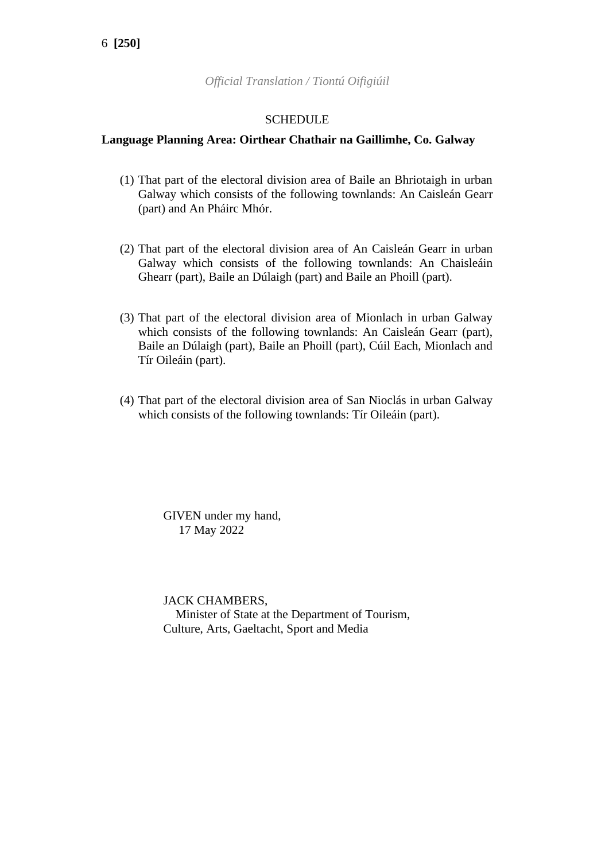*Official Translation / Tiontú Oifigiúil*

### **SCHEDULE**

### **Language Planning Area: Oirthear Chathair na Gaillimhe, Co. Galway**

- (1) That part of the electoral division area of Baile an Bhriotaigh in urban Galway which consists of the following townlands: An Caisleán Gearr (part) and An Pháirc Mhór.
- (2) That part of the electoral division area of An Caisleán Gearr in urban Galway which consists of the following townlands: An Chaisleáin Ghearr (part), Baile an Dúlaigh (part) and Baile an Phoill (part).
- (3) That part of the electoral division area of Mionlach in urban Galway which consists of the following townlands: An Caisleán Gearr (part), Baile an Dúlaigh (part), Baile an Phoill (part), Cúil Each, Mionlach and Tír Oileáin (part).
- (4) That part of the electoral division area of San Nioclás in urban Galway which consists of the following townlands: Tír Oileáin (part).

GIVEN under my hand, 17 May 2022

JACK CHAMBERS, Minister of State at the Department of Tourism, Culture, Arts, Gaeltacht, Sport and Media